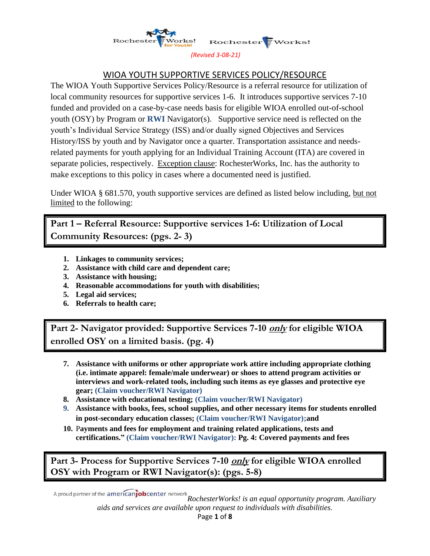

#### *(Revised 3-08-21)*

# WIOA YOUTH SUPPORTIVE SERVICES POLICY/RESOURCE

The WIOA Youth Supportive Services Policy/Resource is a referral resource for utilization of local community resources for supportive services 1-6. It introduces supportive services 7-10 funded and provided on a case-by-case needs basis for eligible WIOA enrolled out-of-school youth (OSY) by Program or **RWI** Navigator(s). Supportive service need is reflected on the youth's Individual Service Strategy (ISS) and/or dually signed Objectives and Services History/ISS by youth and by Navigator once a quarter. Transportation assistance and needsrelated payments for youth applying for an Individual Training Account (ITA) are covered in separate policies, respectively. Exception clause: RochesterWorks, Inc. has the authority to make exceptions to this policy in cases where a documented need is justified.

Under WIOA § 681.570, youth supportive services are defined as listed below including, but not limited to the following:

**Part 1 – Referral Resource: Supportive services 1-6: Utilization of Local Community Resources: (pgs. 2- 3)**

- **1. Linkages to community services;**
- **2. Assistance with child care and dependent care;**
- **3. Assistance with housing;**
- **4. Reasonable accommodations for youth with disabilities;**
- **5. Legal aid services;**
- **6. Referrals to health care;**

**Part 2- Navigator provided: Supportive Services 7-10 only for eligible WIOA enrolled OSY on a limited basis. (pg. 4)** 

- **7. Assistance with uniforms or other appropriate work attire including appropriate clothing (i.e. intimate apparel: female/male underwear) or shoes to attend program activities or interviews and work-related tools, including such items as eye glasses and protective eye gear; (Claim voucher/RWI Navigator)**
- **8. Assistance with educational testing; (Claim voucher/RWI Navigator)**
- **9. Assistance with books, fees, school supplies, and other necessary items for students enrolled in post-secondary education classes; (Claim voucher/RWI Navigator);and**
- **10.** P**ayments and fees for employment and training related applications, tests and certifications." (Claim voucher/RWI Navigator): Pg. 4: Covered payments and fees**

**Part 3- Process for Supportive Services 7-10 only for eligible WIOA enrolled OSY with Program or RWI Navigator(s): (pgs. 5-8)**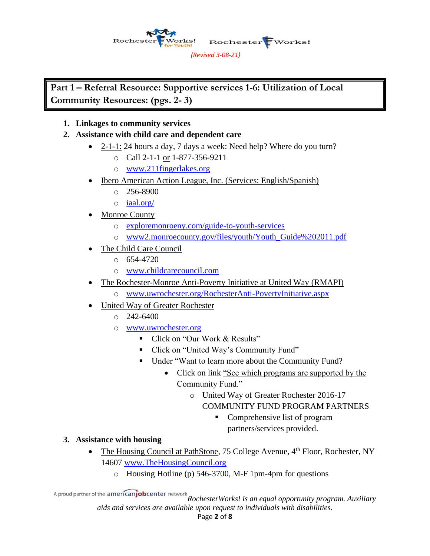Works! Rocheste Rochester EWorks! *(Revised 3-08-21)*

**Part 1 – Referral Resource: Supportive services 1-6: Utilization of Local Community Resources: (pgs. 2- 3)**

## **1. Linkages to community services**

### **2. Assistance with child care and dependent care**

- 2-1-1: 24 hours a day, 7 days a week: Need help? Where do you turn?
	- o Call 2-1-1 or 1-877-356-9211
	- o [www.211fingerlakes.org](http://www.211fingerlakes.org/)
- Ibero American Action League, Inc. (Services: English/Spanish)
	- $\degree$  256-8900
	- o [iaal.org/](http://iaal.org/)
- Monroe County
	- o [exploremonroeny.com/guide-to-youth-services](http://exploremonroeny.com/guide-to-youth-services)
	- o [www2.monroecounty.gov/files/youth/Youth\\_Guide%202011.pdf](http://www2.monroecounty.gov/files/youth/Youth_Guide%202011.pdf)
- The Child Care Council
	- $\circ$  654-4720
	- o [www.childcarecouncil.com](http://www.childcarecouncil.com/)
- The Rochester-Monroe Anti-Poverty Initiative at United Way (RMAPI)
	- o [www.uwrochester.org/RochesterAnti-PovertyInitiative.aspx](http://www.uwrochester.org/RochesterAnti-PovertyInitiative.aspx)
- United Way of Greater Rochester
	- $O$  242-6400
	- o [www.uwrochester.org](http://www.uwrochester.org/)
		- Click on "Our Work & Results"
		- Click on "United Way's Community Fund"
		- Under "Want to learn more about the Community Fund?
			- Click on link "See which programs are supported by the Community Fund."
				- o United Way of Greater Rochester 2016-17 COMMUNITY FUND PROGRAM PARTNERS
					- Comprehensive list of program partners/services provided.

### **3. Assistance with housing**

- The Housing Council at PathStone, 75 College Avenue, 4<sup>th</sup> Floor, Rochester, NY 14607 [www.TheHousingCouncil.org](http://www.thehousingcouncil.org/)
	- o Housing Hotline (p) 546-3700, M-F 1pm-4pm for questions

*RochesterWorks! is an equal opportunity program. Auxiliary aids and services are available upon request to individuals with disabilities.*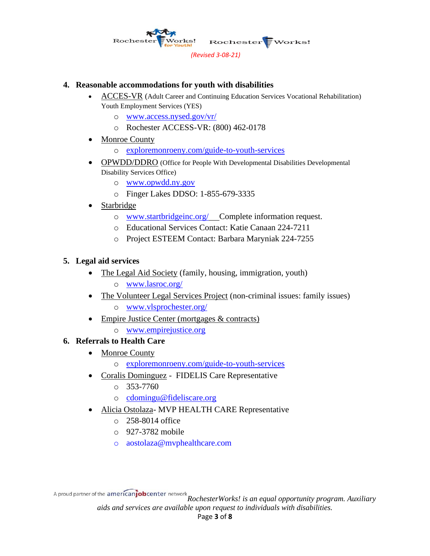

#### **4. Reasonable accommodations for youth with disabilities**

- ACCES-VR (Adult Career and Continuing Education Services Vocational Rehabilitation) Youth Employment Services (YES)
	- o [www.access.nysed.gov/vr/](http://www.access.nysed.gov/vr/)
	- o Rochester ACCESS-VR: (800) 462-0178
- Monroe County
	- o [exploremonroeny.com/guide-to-youth-services](http://exploremonroeny.com/guide-to-youth-services)
- OPWDD/DDRO (Office for People With Developmental Disabilities Developmental Disability Services Office)
	- o [www.opwdd.ny.gov](http://www.opwdd.ny.gov/)
	- o Finger Lakes DDSO: 1-855-679-3335
- **Starbridge** 
	- o [www.startbridgeinc.org/](http://www.startbridgeinc.org/) Complete information request.
	- o Educational Services Contact: Katie Canaan 224-7211
	- o Project ESTEEM Contact: Barbara Maryniak 224-7255

### **5. Legal aid services**

- The Legal Aid Society (family, housing, immigration, youth)
	- o [www.lasroc.org/](http://www.lasroc.org/)
- The Volunteer Legal Services Project (non-criminal issues: family issues)
	- o [www.vlsprochester.org/](http://www.vlsprochester.org/)
- Empire Justice Center (mortgages & contracts)
	- o [www.empirejustice.org](http://www.empirejustice.org/)

### **6. Referrals to Health Care**

- Monroe County
	- o [exploremonroeny.com/guide-to-youth-services](http://exploremonroeny.com/guide-to-youth-services)
- Coralis Dominguez FIDELIS Care Representative
	- $\circ$  353-7760
	- o [cdomingu@fideliscare.org](mailto:cdomingu@fideliscare.org)
- Alicia Ostolaza- MVP HEALTH CARE Representative
	- o 258-8014 office
	- o 927-3782 mobile
	- o [aostolaza@mvphealthcare.com](mailto:aostolaza@mvphealthcare.com)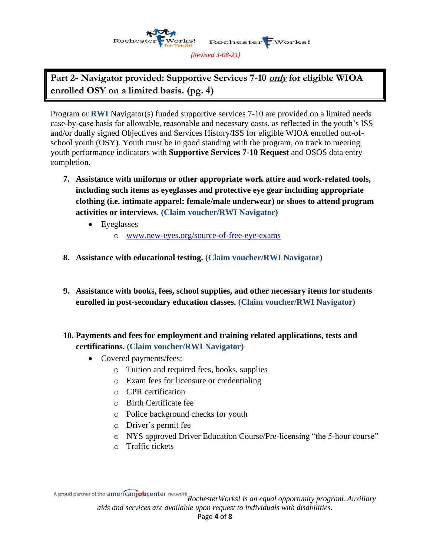

**Part 2- Navigator provided: Supportive Services 7-10 only for eligible WIOA enrolled OSY on a limited basis. (pg. 4)** 

Program or **RWI** Navigator(s) funded supportive services 7-10 are provided on a limited needs case-by-case basis for allowable, reasonable and necessary costs, as reflected in the youth's ISS and/or dually signed Objectives and Services History/ISS for eligible WIOA enrolled out-ofschool youth (OSY). Youth must be in good standing with the program, on track to meeting youth performance indicators with **Supportive Services 7-10 Request** and OSOS data entry completion.

- **7. Assistance with uniforms or other appropriate work attire and work-related tools, including such items as eyeglasses and protective eye gear including appropriate clothing (i.e. intimate apparel: female/male underwear) or shoes to attend program activities or interviews. (Claim voucher/RWI Navigator)** 
	- Eyeglasses
		- o [www.new-eyes.org/source-of-free-eye-exams](http://www.new-eyes.org/source-of-free-eye-exams)
- **8. Assistance with educational testing. (Claim voucher/RWI Navigator)**
- **9. Assistance with books, fees, school supplies, and other necessary items for students enrolled in post-secondary education classes. (Claim voucher/RWI Navigator)**
- **10. Payments and fees for employment and training related applications, tests and certifications. (Claim voucher/RWI Navigator)**
	- Covered payments/fees:
		- o Tuition and required fees, books, supplies
		- o Exam fees for licensure or credentialing
		- o CPR certification
		- o Birth Certificate fee
		- o Police background checks for youth
		- o Driver's permit fee
		- o NYS approved Driver Education Course/Pre-licensing "the 5-hour course"
		- o Traffic tickets

*RochesterWorks! is an equal opportunity program. Auxiliary aids and services are available upon request to individuals with disabilities.* Page **4** of **8**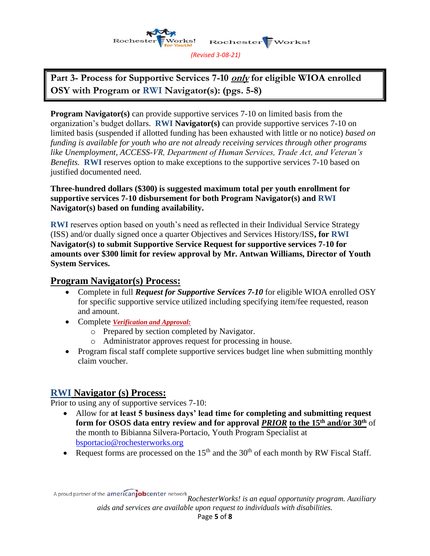

**Part 3- Process for Supportive Services 7-10 only for eligible WIOA enrolled OSY with Program or RWI Navigator(s): (pgs. 5-8)** 

**Program Navigator(s)** can provide supportive services 7-10 on limited basis from the organization's budget dollars. **RWI Navigator(s)** can provide supportive services 7-10 on limited basis (suspended if allotted funding has been exhausted with little or no notice) *based on funding is available for youth who are not already receiving services through other programs like Unemployment, ACCESS-VR, Department of Human Services, Trade Act, and Veteran's Benefits.* **RWI** reserves option to make exceptions to the supportive services 7-10 based on justified documented need.

#### **Three-hundred dollars (\$300) is suggested maximum total per youth enrollment for supportive services 7-10 disbursement for both Program Navigator(s) and RWI Navigator(s) based on funding availability.**

**RWI** reserves option based on youth's need as reflected in their Individual Service Strategy (ISS) and/or dually signed once a quarter Objectives and Services History/ISS**, for RWI Navigator(s) to submit Supportive Service Request for supportive services 7-10 for amounts over \$300 limit for review approval by Mr. Antwan Williams, Director of Youth System Services.**

# **Program Navigator(s) Process:**

- Complete in full *Request for Supportive Services 7-10* for eligible WIOA enrolled OSY for specific supportive service utilized including specifying item/fee requested, reason and amount.
- Complete *Verification and Approval:*
	- o Prepared by section completed by Navigator.
	- o Administrator approves request for processing in house.
- Program fiscal staff complete supportive services budget line when submitting monthly claim voucher.

# **RWI Navigator (s) Process:**

Prior to using any of supportive services 7-10:

- Allow for **at least 5 business days' lead time for completing and submitting request form for OSOS data entry review and for approval** *PRIOR* **to the 15th and/or 30th** of the month to Bibianna Silvera-Portacio, Youth Program Specialist at [bsportacio@rochesterworks.org](mailto:bsportacio@rochesterworks.org)
- Request forms are processed on the  $15<sup>th</sup>$  and the  $30<sup>th</sup>$  of each month by RW Fiscal Staff.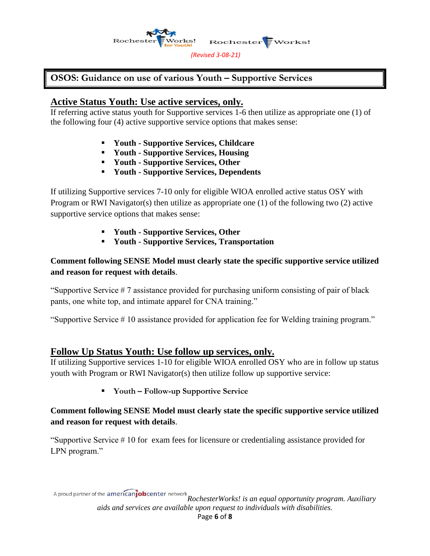

# **OSOS: Guidance on use of various Youth – Supportive Services**

# **Active Status Youth: Use active services, only.**

If referring active status youth for Supportive services 1-6 then utilize as appropriate one (1) of the following four (4) active supportive service options that makes sense:

- **Youth - Supportive Services, Childcare**
- **Youth - Supportive Services, Housing**
- **Youth - Supportive Services, Other**
- **Youth - Supportive Services, Dependents**

If utilizing Supportive services 7-10 only for eligible WIOA enrolled active status OSY with Program or RWI Navigator(s) then utilize as appropriate one (1) of the following two (2) active supportive service options that makes sense:

- **Youth - Supportive Services, Other**
- **Youth - Supportive Services, Transportation**

**Comment following SENSE Model must clearly state the specific supportive service utilized and reason for request with details**.

"Supportive Service  $\#7$  assistance provided for purchasing uniform consisting of pair of black pants, one white top, and intimate apparel for CNA training."

"Supportive Service # 10 assistance provided for application fee for Welding training program."

# **Follow Up Status Youth: Use follow up services, only.**

If utilizing Supportive services 1-10 for eligible WIOA enrolled OSY who are in follow up status youth with Program or RWI Navigator(s) then utilize follow up supportive service:

▪ **Youth – Follow-up Supportive Service**

### **Comment following SENSE Model must clearly state the specific supportive service utilized and reason for request with details**.

"Supportive Service # 10 for exam fees for licensure or credentialing assistance provided for LPN program."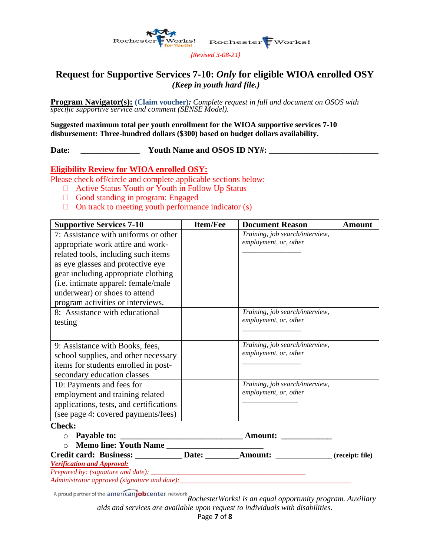

#### *(Revised 3-08-21)*

# **Request for Supportive Services 7-10:** *Only* **for eligible WIOA enrolled OSY** *(Keep in youth hard file.)*

**Program Navigator(s): (Claim voucher)***: Complete request in full and document on OSOS with specific supportive service and comment (SENSE Model).*

**Suggested maximum total per youth enrollment for the WIOA supportive services 7-10 disbursement: Three-hundred dollars (\$300) based on budget dollars availability.**

Date: <u>\_\_\_\_\_\_\_\_\_\_\_\_\_\_\_\_</u> Youth Name and OSOS ID NY#:

#### **Eligibility Review for WIOA enrolled OSY:**

Please check off/circle and complete applicable sections below:

- □ Active Status Youth *or* Youth in Follow Up Status
- Good standing in program: Engaged
- $\Box$  On track to meeting youth performance indicator (s)

| <b>Supportive Services 7-10</b>                                                                                                                                                                                                                                                                           | <b>Item/Fee</b> | <b>Document Reason</b>                                   | Amount |
|-----------------------------------------------------------------------------------------------------------------------------------------------------------------------------------------------------------------------------------------------------------------------------------------------------------|-----------------|----------------------------------------------------------|--------|
| 7: Assistance with uniforms or other<br>appropriate work attire and work-<br>related tools, including such items<br>as eye glasses and protective eye<br>gear including appropriate clothing<br>(i.e. intimate apparel: female/male<br>underwear) or shoes to attend<br>program activities or interviews. |                 | Training, job search/interview,<br>employment, or, other |        |
| 8: Assistance with educational<br>testing                                                                                                                                                                                                                                                                 |                 | Training, job search/interview,<br>employment, or, other |        |
| 9: Assistance with Books, fees,<br>school supplies, and other necessary<br>items for students enrolled in post-<br>secondary education classes                                                                                                                                                            |                 | Training, job search/interview,<br>employment, or, other |        |
| 10: Payments and fees for<br>employment and training related<br>applications, tests, and certifications<br>(see page 4: covered payments/fees)<br>$\mathbf{Chod}\mathbf{v}$                                                                                                                               |                 | Training, job search/interview,<br>employment, or, other |        |

#### **Check:**

| ◡ | Payable to: | Amount: |
|---|-------------|---------|
|---|-------------|---------|

o **Memo line: Youth Name \_\_\_\_\_\_\_\_\_\_\_\_\_\_\_\_\_\_\_\_\_\_\_**

**Credit card: Business: \_\_\_\_\_\_\_\_\_\_\_ Date: \_\_\_\_\_\_\_\_Amount: \_\_\_\_\_\_\_\_\_\_\_\_\_\_\_\_ (receipt: file)**

*Verification and Approval:*

*Prepared by: (signature and date):* 

*Administrator approved (signature and date):\_\_\_\_\_\_\_\_\_\_\_\_\_\_\_\_\_\_\_\_\_\_\_\_\_\_\_\_\_\_\_\_\_\_\_\_\_\_\_\_\_\_\_\_\_\_\_\_\_*

*RochesterWorks! is an equal opportunity program. Auxiliary aids and services are available upon request to individuals with disabilities.*